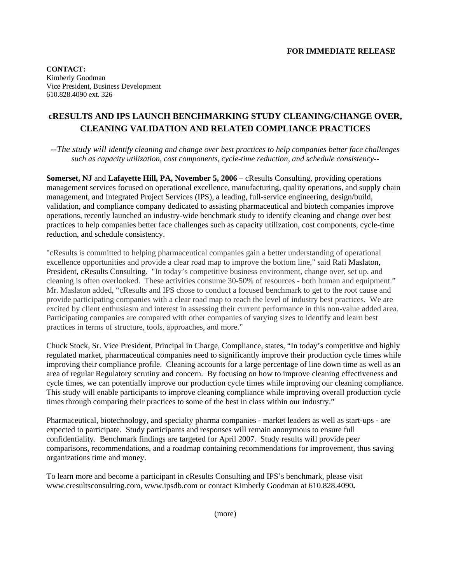**CONTACT:**  Kimberly Goodman Vice President, Business Development 610.828.4090 ext. 326

## **cRESULTS AND IPS LAUNCH BENCHMARKING STUDY CLEANING/CHANGE OVER, CLEANING VALIDATION AND RELATED COMPLIANCE PRACTICES**

*--The study will identify cleaning and change over best practices to help companies better face challenges such as capacity utilization, cost components, cycle-time reduction, and schedule consistency--*

**Somerset, NJ** and **Lafayette Hill, PA, November 5, 2006** – cResults Consulting, providing operations management services focused on operational excellence, manufacturing, quality operations, and supply chain management, and Integrated Project Services (IPS), a leading, full-service engineering, design/build, validation, and compliance company dedicated to assisting pharmaceutical and biotech companies improve operations, recently launched an industry-wide benchmark study to identify cleaning and change over best practices to help companies better face challenges such as capacity utilization, cost components, cycle-time reduction, and schedule consistency.

"cResults is committed to helping pharmaceutical companies gain a better understanding of operational excellence opportunities and provide a clear road map to improve the bottom line," said Rafi Maslaton, President, cResults Consulting. "In today's competitive business environment, change over, set up, and cleaning is often overlooked. These activities consume 30-50% of resources - both human and equipment." Mr. Maslaton added, "cResults and IPS chose to conduct a focused benchmark to get to the root cause and provide participating companies with a clear road map to reach the level of industry best practices. We are excited by client enthusiasm and interest in assessing their current performance in this non-value added area. Participating companies are compared with other companies of varying sizes to identify and learn best practices in terms of structure, tools, approaches, and more."

Chuck Stock, Sr. Vice President, Principal in Charge, Compliance, states, "In today's competitive and highly regulated market, pharmaceutical companies need to significantly improve their production cycle times while improving their compliance profile. Cleaning accounts for a large percentage of line down time as well as an area of regular Regulatory scrutiny and concern. By focusing on how to improve cleaning effectiveness and cycle times, we can potentially improve our production cycle times while improving our cleaning compliance. This study will enable participants to improve cleaning compliance while improving overall production cycle times through comparing their practices to some of the best in class within our industry."

Pharmaceutical, biotechnology, and specialty pharma companies - market leaders as well as start-ups - are expected to participate. Study participants and responses will remain anonymous to ensure full confidentiality. Benchmark findings are targeted for April 2007. Study results will provide peer comparisons, recommendations, and a roadmap containing recommendations for improvement, thus saving organizations time and money.

To learn more and become a participant in cResults Consulting and IPS's benchmark, please visit www.cresultsconsulting.com, www.ipsdb.com or contact Kimberly Goodman at 610.828.4090**.**